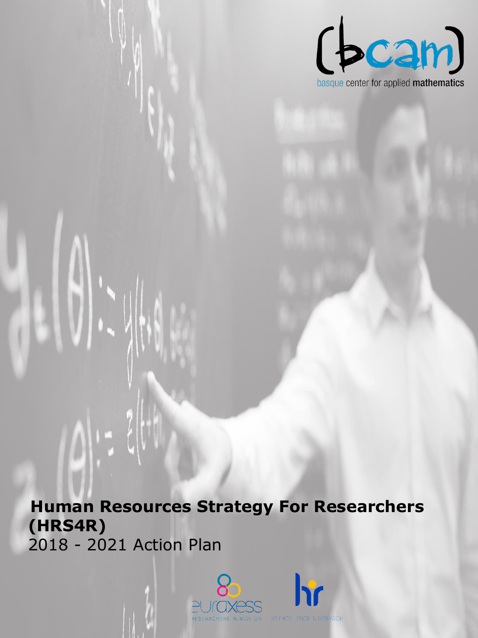

### **Human Resources Strategy For Researchers (HRS4R)**  2018 - 2021 Action Plan

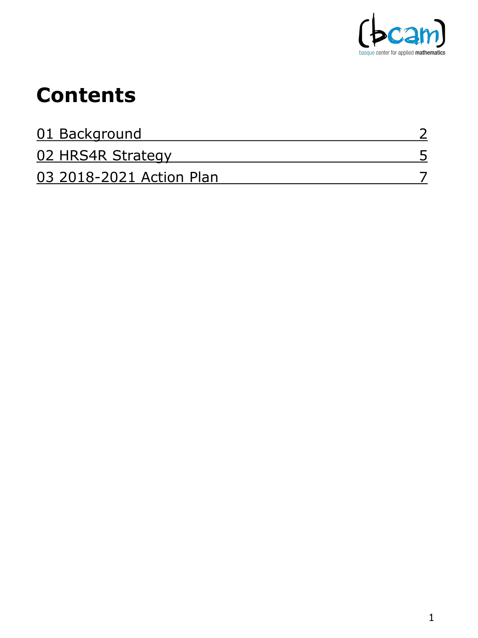

### **Contents**

| 01 Background            |  |
|--------------------------|--|
| 02 HRS4R Strategy        |  |
| 03 2018-2021 Action Plan |  |

1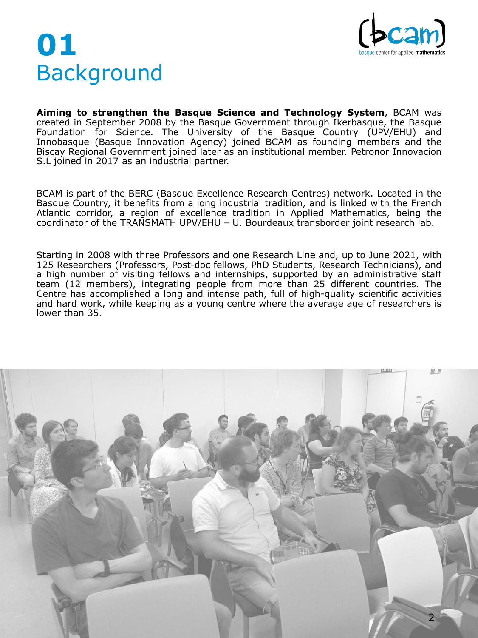# <span id="page-2-0"></span>**01** Background



**Aiming to strengthen the Basque Science and Technology System**, BCAM was created in September 2008 by the Basque Government through Ikerbasque, the Basque Foundation for Science. The University of the Basque Country (UPV/EHU) and Innobasque (Basque Innovation Agency) joined BCAM as founding members and the Biscay Regional Government joined later as an institutional member. Petronor Innovacion S.L joined in 2017 as an industrial partner.

BCAM is part of the BERC (Basque Excellence Research Centres) network. Located in the Basque Country, it benefits from a long industrial tradition, and is linked with the French Atlantic corridor, a region of excellence tradition in Applied Mathematics, being the coordinator of the TRANSMATH UPV/EHU – U. Bourdeaux transborder joint research lab.

Starting in 2008 with three Professors and one Research Line and, up to June 2021, with 125 Researchers (Professors, Post-doc fellows, PhD Students, Research Technicians), and a high number of visiting fellows and internships, supported by an administrative staff team (12 members), integrating people from more than 25 different countries. The Centre has accomplished a long and intense path, full of high-quality scientific activities and hard work, while keeping as a young centre where the average age of researchers is lower than 35.

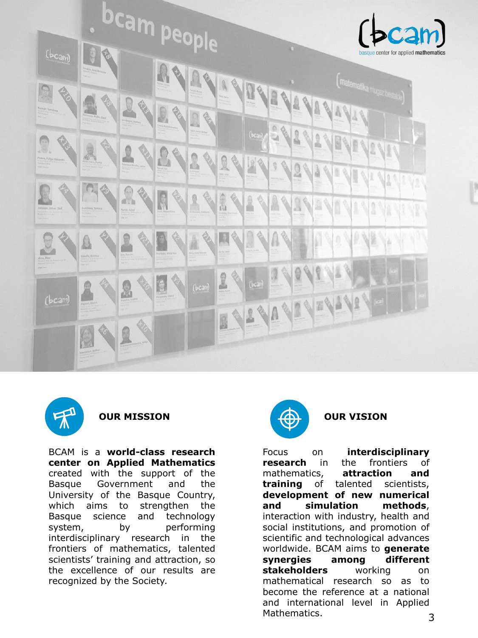





Focus on **interdisciplinary research** in the frontiers of mathematics, **attraction and training** of talented scientists, **development of new numerical and simulation methods**, interaction with industry, health and social institutions, and promotion of scientific and technological advances worldwide. BCAM aims to **generate synergies among different stakeholders** working on mathematical research so as to become the reference at a national and international level in Applied Mathematics. 3

BCAM is a **world-class research center on Applied Mathematics** created with the support of the Basque Government and the University of the Basque Country, which aims to strengthen the Basque science and technology system, by performing interdisciplinary research in the frontiers of mathematics, talented scientists' training and attraction, so the excellence of our results are recognized by the Society.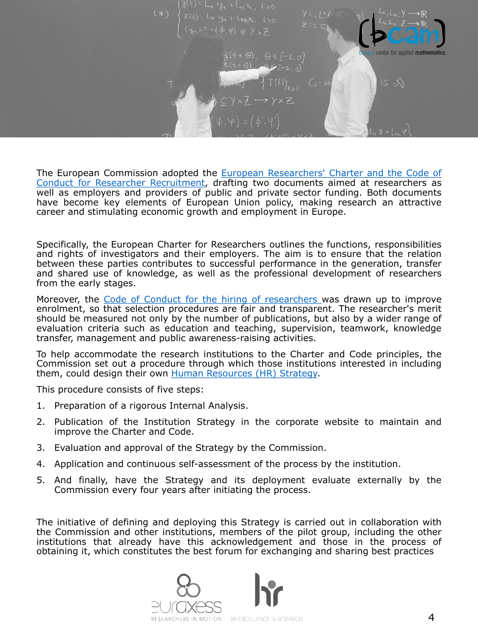

The European Commission adopted the **European Researchers' Charter and the Code of** Conduct for Researcher [Recruitment,](https://euraxess.ec.europa.eu/jobs/charter) drafting two documents aimed at researchers as well as employers and providers of public and private sector funding. Both documents have become key elements of European Union policy, making research an attractive career and stimulating economic growth and employment in Europe.

Specifically, the European Charter for Researchers outlines the functions, responsibilities and rights of investigators and their employers. The aim is to ensure that the relation between these parties contributes to successful performance in the generation, transfer and shared use of knowledge, as well as the professional development of researchers from the early stages.

Moreover, the Code of Conduct for the hiring of [researchers](https://euraxess.ec.europa.eu/jobs/charter/code) was drawn up to improve enrolment, so that selection procedures are fair and transparent. The researcher's merit should be measured not only by the number of publications, but also by a wider range of evaluation criteria such as education and teaching, supervision, teamwork, knowledge transfer, management and public awareness-raising activities.

To help accommodate the research institutions to the Charter and Code principles, the Commission set out a procedure through which those institutions interested in including them, could design their own Human [Resources](https://www.euraxess.es/spain/services/human-resources-strategy-researchers-hrs4r) (HR) Strategy.

This procedure consists of five steps:

- 1. Preparation of a rigorous Internal Analysis.
- 2. Publication of the Institution Strategy in the corporate website to maintain and improve the Charter and Code.
- 3. Evaluation and approval of the Strategy by the Commission.
- 4. Application and continuous self-assessment of the process by the institution.
- 5. And finally, have the Strategy and its deployment evaluate externally by the Commission every four years after initiating the process.

The initiative of defining and deploying this Strategy is carried out in collaboration with the Commission and other institutions, members of the pilot group, including the other institutions that already have this acknowledgement and those in the process of obtaining it, which constitutes the best forum for exchanging and sharing best practices

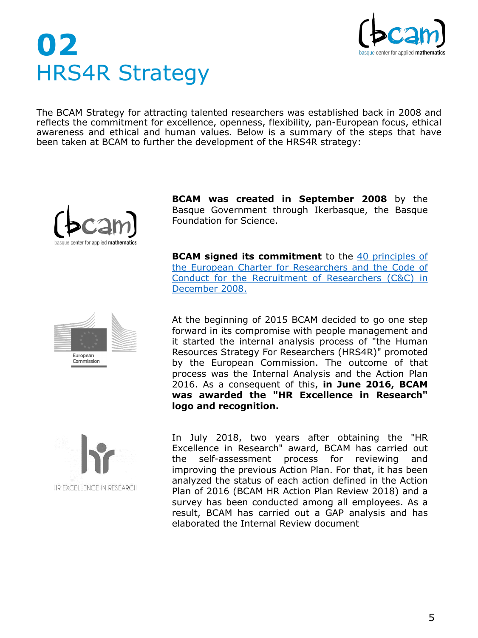

# <span id="page-5-0"></span>**02** HRS4R Strategy

The BCAM Strategy for attracting talented researchers was established back in 2008 and reflects the commitment for excellence, openness, flexibility, pan-European focus, ethical awareness and ethical and human values. Below is a summary of the steps that have been taken at BCAM to further the development of the HRS4R strategy:



**BCAM was created in September 2008** by the Basque Government through Ikerbasque, the Basque Foundation for Science.

**BCAM signed its [commitment](http://www.bcamath.org/documentos_public/archivos/HRS4R/Code_of_Conduct_BCAM_2018.pdf)** to the 40 principles of the European Charter for Researchers and the Code of Conduct for the Recruitment of Researchers (C&C) in December 2008.



European Commission At the beginning of 2015 BCAM decided to go one step forward in its compromise with people management and it started the internal analysis process of "the Human Resources Strategy For Researchers (HRS4R)" promoted by the European Commission. The outcome of that process was the Internal Analysis and the Action Plan 2016. As a consequent of this, **in June 2016, BCAM was awarded the "HR Excellence in Research" logo and recognition.**

In July 2018, two years after obtaining the "HR Excellence in Research" award, BCAM has carried out the self-assessment process for reviewing and improving the previous Action Plan. For that, it has been analyzed the status of each action defined in the Action Plan of 2016 (BCAM HR Action Plan Review 2018) and a survey has been conducted among all employees. As a result, BCAM has carried out a GAP analysis and has elaborated the Internal Review document

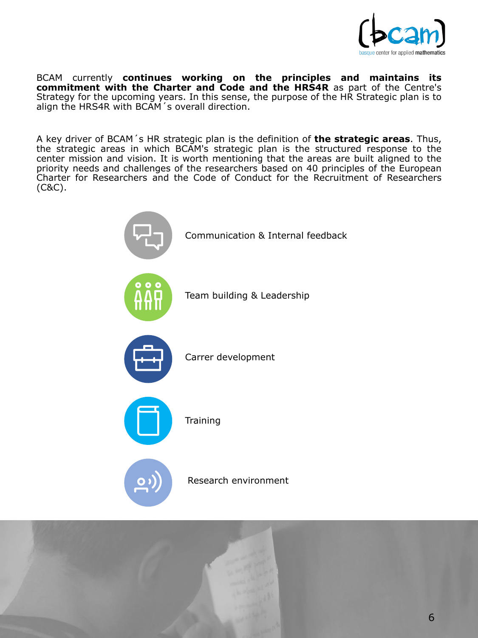

BCAM currently **continues working on the principles and maintains its commitment with the Charter and Code and the HRS4R** as part of the Centre's Strategy for the upcoming years. In this sense, the purpose of the HR Strategic plan is to align the HRS4R with BCAM's overall direction.

A key driver of BCAM´s HR strategic plan is the definition of **the strategic areas**. Thus, the strategic areas in which BCAM's strategic plan is the structured response to the center mission and vision. It is worth mentioning that the areas are built aligned to the priority needs and challenges of the researchers based on 40 principles of the European Charter for Researchers and the Code of Conduct for the Recruitment of Researchers (C&C).





#### Research environment

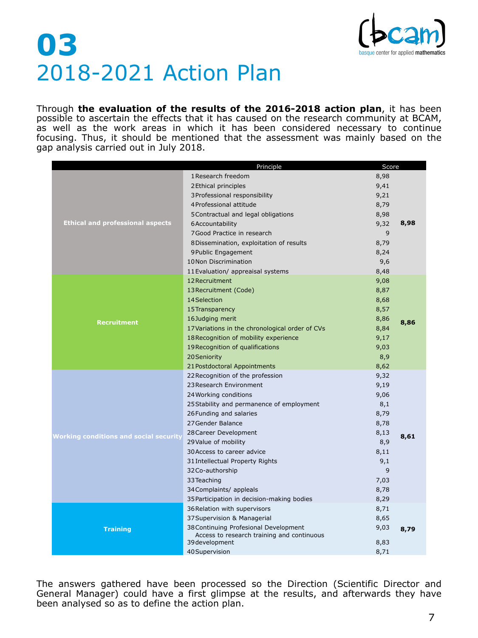Through **the evaluation of the results of the 2016-2018 action plan**, it has been possible to ascertain the effects that it has caused on the research community at BCAM, as well as the work areas in which it has been considered necessary to continue focusing. Thus, it should be mentioned that the assessment was mainly based on the gap analysis carried out in July 2018.

The answers gathered have been processed so the Direction (Scientific Director and General Manager) could have a first glimpse at the results, and afterwards they have been analysed so as to define the action plan.

|                                               | Principle                                                                           | Score |      |  |  |
|-----------------------------------------------|-------------------------------------------------------------------------------------|-------|------|--|--|
|                                               | 1 Research freedom                                                                  | 8,98  |      |  |  |
|                                               | 2 Ethical principles                                                                | 9,41  |      |  |  |
|                                               | 3 Professional responsibility                                                       | 9,21  |      |  |  |
|                                               | 4 Professional attitude                                                             | 8,79  |      |  |  |
|                                               | 5 Contractual and legal obligations                                                 | 8,98  |      |  |  |
| <b>Ethical and professional aspects</b>       | 6Accountability                                                                     | 9,32  | 8,98 |  |  |
|                                               | 7 Good Practice in research                                                         | 9     |      |  |  |
|                                               | 8Dissemination, exploitation of results                                             | 8,79  |      |  |  |
|                                               | 9 Public Engagement                                                                 | 8,24  |      |  |  |
|                                               | 10 Non Discrimination                                                               | 9,6   |      |  |  |
|                                               | 11 Evaluation/ appreaisal systems                                                   | 8,48  |      |  |  |
|                                               | 12 Recruitment                                                                      | 9,08  |      |  |  |
|                                               | 13 Recruitment (Code)                                                               | 8,87  |      |  |  |
|                                               | 14 Selection                                                                        | 8,68  |      |  |  |
|                                               | 15 Transparency                                                                     | 8,57  |      |  |  |
| <b>Recruitment</b>                            | 16Judging merit                                                                     | 8,86  | 8,86 |  |  |
|                                               | 17 Variations in the chronological order of CVs                                     | 8,84  |      |  |  |
|                                               | 18 Recognition of mobility experience                                               | 9,17  |      |  |  |
|                                               | 19 Recognition of qualifications                                                    | 9,03  |      |  |  |
|                                               | 20 Seniority                                                                        | 8,9   |      |  |  |
|                                               | 21 Postdoctoral Appointments                                                        | 8,62  |      |  |  |
|                                               | 22 Recognition of the profession                                                    | 9,32  |      |  |  |
|                                               | 23 Research Environment                                                             | 9,19  |      |  |  |
|                                               | 24 Working conditions                                                               | 9,06  |      |  |  |
|                                               | 25 Stability and permanence of employment                                           | 8,1   |      |  |  |
|                                               | 26 Funding and salaries                                                             | 8,79  |      |  |  |
|                                               | 27 Gender Balance                                                                   | 8,78  |      |  |  |
| <b>Working conditions and social security</b> | 28 Career Development                                                               | 8,13  | 8,61 |  |  |
|                                               | 29 Value of mobility                                                                | 8,9   |      |  |  |
|                                               | 30 Access to career advice                                                          | 8,11  |      |  |  |
|                                               | 31 Intellectual Property Rights                                                     | 9,1   |      |  |  |
|                                               | 32Co-authorship                                                                     | 9     |      |  |  |
|                                               | 33 Teaching                                                                         | 7,03  |      |  |  |
|                                               | 34 Complaints/ appleals                                                             | 8,78  |      |  |  |
|                                               | 35 Participation in decision-making bodies                                          | 8,29  |      |  |  |
|                                               | 36 Relation with supervisors                                                        | 8,71  |      |  |  |
|                                               | 37 Supervision & Managerial                                                         | 8,65  | 8,79 |  |  |
| <b>Training</b>                               | 38 Continuing Profesional Development<br>Access to research training and continuous | 9,03  |      |  |  |
|                                               | 39 development                                                                      | 8,83  |      |  |  |
|                                               | 40 Supervision                                                                      | 8,71  |      |  |  |



### <span id="page-7-0"></span>**03** 2018-2021 Action Plan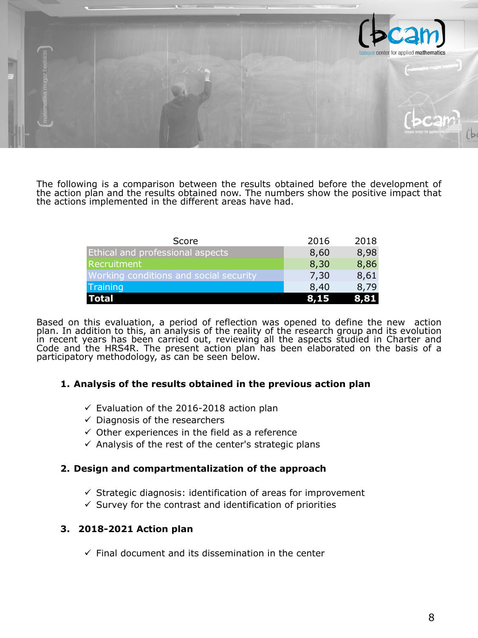

The following is a comparison between the results obtained before the development of the action plan and the results obtained now. The numbers show the positive impact that the actions implemented in the different areas have had.

Based on this evaluation, a period of reflection was opened to define the new action plan. In addition to this, an analysis of the reality of the research group and its evolution in recent years has been carried out, reviewing all the aspects studied in Charter and Code and the HRS4R. The present action plan has been elaborated on the basis of a participatory methodology, as can be seen below.

#### **1. Analysis of the results obtained in the previous action plan**

- $\checkmark$  Evaluation of the 2016-2018 action plan
- $\checkmark$  Diagnosis of the researchers
- $\checkmark$  Other experiences in the field as a reference
- $\checkmark$  Analysis of the rest of the center's strategic plans

#### **2. Design and compartmentalization of the approach**

- $\checkmark$  Strategic diagnosis: identification of areas for improvement
- $\checkmark$  Survey for the contrast and identification of priorities

#### **3. 2018-2021 Action plan**

 $\checkmark$  Final document and its dissemination in the center

| Score                                         | 2016 | 2018 |
|-----------------------------------------------|------|------|
| <b>Ethical and professional aspects</b>       | 8,60 | 8,98 |
| Recruitment                                   | 8,30 | 8,86 |
| <b>Working conditions and social security</b> | 7,30 | 8,61 |
| Training                                      | 8,40 | 8,79 |
| <b>ITotal</b>                                 | 8,15 | 8,81 |